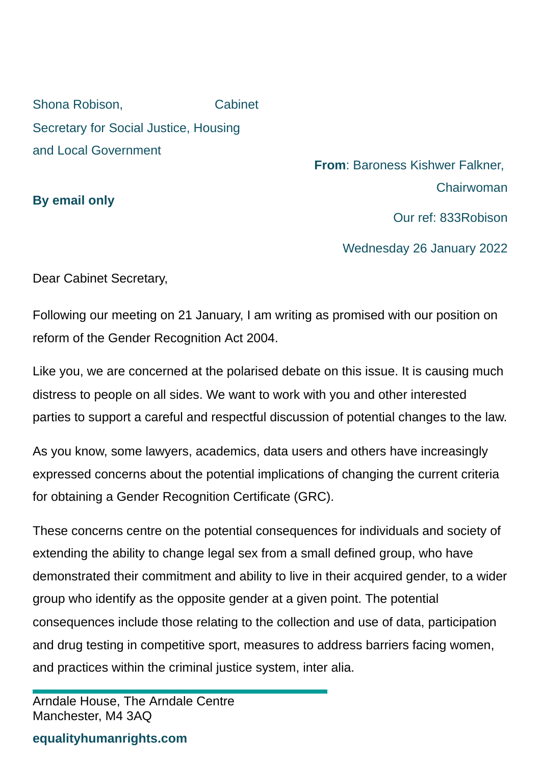Shona Robison, Cabinet Secretary for Social Justice, Housing and Local Government

**By email only**

**From**: Baroness Kishwer Falkner, Chairwoman

Our ref: 833Robison

Wednesday 26 January 2022

Dear Cabinet Secretary,

Following our meeting on 21 January, I am writing as promised with our position on reform of the Gender Recognition Act 2004.

Like you, we are concerned at the polarised debate on this issue. It is causing much distress to people on all sides. We want to work with you and other interested parties to support a careful and respectful discussion of potential changes to the law.

As you know, some lawyers, academics, data users and others have increasingly expressed concerns about the potential implications of changing the current criteria for obtaining a Gender Recognition Certificate (GRC).

These concerns centre on the potential consequences for individuals and society of extending the ability to change legal sex from a small defined group, who have demonstrated their commitment and ability to live in their acquired gender, to a wider group who identify as the opposite gender at a given point. The potential consequences include those relating to the collection and use of data, participation and drug testing in competitive sport, measures to address barriers facing women, and practices within the criminal justice system, inter alia.

## **equalityhumanrights.com**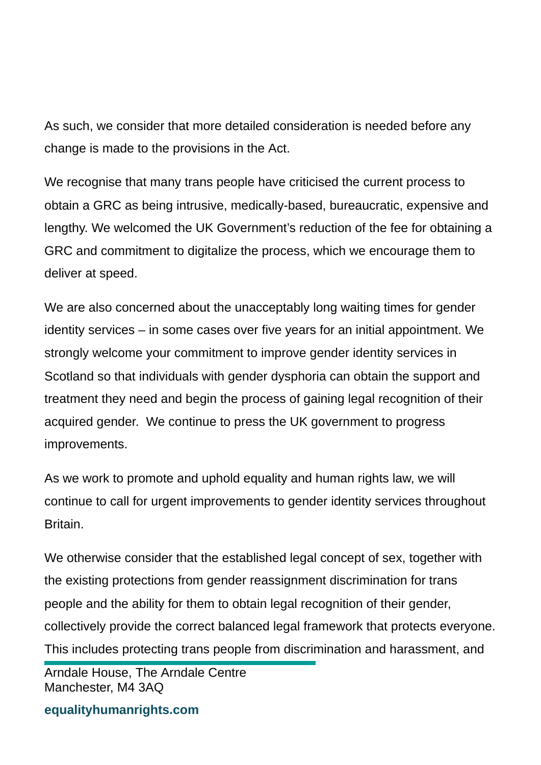As such, we consider that more detailed consideration is needed before any change is made to the provisions in the Act.

We recognise that many trans people have criticised the current process to obtain a GRC as being intrusive, medically-based, bureaucratic, expensive and lengthy. We welcomed the UK Government's reduction of the fee for obtaining a GRC and commitment to digitalize the process, which we encourage them to deliver at speed.

We are also concerned about the unacceptably long waiting times for gender identity services – in some cases over five years for an initial appointment. We strongly welcome your commitment to improve gender identity services in Scotland so that individuals with gender dysphoria can obtain the support and treatment they need and begin the process of gaining legal recognition of their acquired gender. We continue to press the UK government to progress improvements.

As we work to promote and uphold equality and human rights law, we will continue to call for urgent improvements to gender identity services throughout Britain.

We otherwise consider that the established legal concept of sex, together with the existing protections from gender reassignment discrimination for trans people and the ability for them to obtain legal recognition of their gender, collectively provide the correct balanced legal framework that protects everyone. This includes protecting trans people from discrimination and harassment, and

Arndale House, The Arndale Centre Manchester, M4 3AQ

**equalityhumanrights.com**